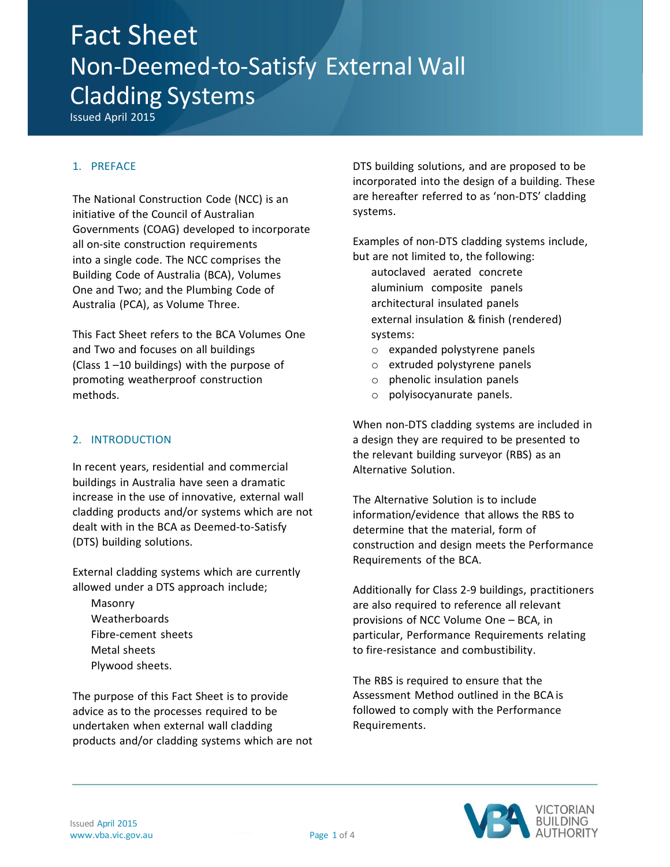# Fact Sheet Non-Deemed-to-Satisfy External Wall Cladding Systems

Issued April 2015

## 1. PREFACE

The National Construction Code (NCC) is an initiative of the Council of Australian Governments (COAG) developed to incorporate all on-site construction requirements into a single code. The NCC comprises the Building Code of Australia (BCA), Volumes One and Two; and the Plumbing Code of Australia (PCA), as Volume Three.

This Fact Sheet refers to the BCA Volumes One and Two and focuses on all buildings (Class 1 –10 buildings) with the purpose of promoting weatherproof construction methods.

### 2. INTRODUCTION

In recent years, residential and commercial buildings in Australia have seen a dramatic increase in the use of innovative, external wall cladding products and/or systems which are not dealt with in the BCA as Deemed-to-Satisfy (DTS) building solutions.

External cladding systems which are currently allowed under a DTS approach include;

Masonry Weatherboards Fibre-cement sheets Metal sheets Plywood sheets.

The purpose of this Fact Sheet is to provide advice as to the processes required to be undertaken when external wall cladding products and/or cladding systems which are not DTS building solutions, and are proposed to be incorporated into the design of a building. These are hereafter referred to as 'non-DTS' cladding systems.

Examples of non-DTS cladding systems include, but are not limited to, the following:

autoclaved aerated concrete aluminium composite panels architectural insulated panels external insulation & finish (rendered) systems:

- o expanded polystyrene panels
- o extruded polystyrene panels
- o phenolic insulation panels
- o polyisocyanurate panels.

When non-DTS cladding systems are included in a design they are required to be presented to the relevant building surveyor (RBS) as an Alternative Solution.

The Alternative Solution is to include information/evidence that allows the RBS to determine that the material, form of construction and design meets the Performance Requirements of the BCA.

Additionally for Class 2-9 buildings, practitioners are also required to reference all relevant provisions of NCC Volume One – BCA, in particular, Performance Requirements relating to fire-resistance and combustibility.

The RBS is required to ensure that the Assessment Method outlined in the BCA is followed to comply with the Performance Requirements.

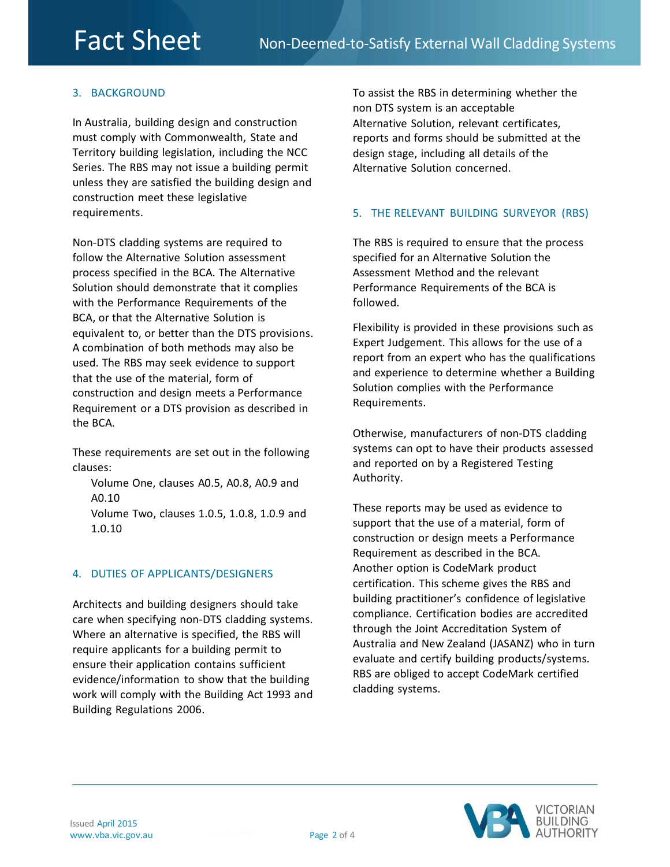# 3. BACKGROUND

In Australia, building design and construction must comply with Commonwealth, State and Territory building legislation, including the NCC Series. The RBS may not issue a building permit unless they are satisfied the building design and construction meet these legislative requirements.

Non-DTS cladding systems are required to follow the Alternative Solution assessment process specified in the BCA. The Alternative Solution should demonstrate that it complies with the Performance Requirements of the BCA, or that the Alternative Solution is equivalent to, or better than the DTS provisions. A combination of both methods may also be used. The RBS may seek evidence to support that the use of the material, form of construction and design meets a Performance Requirement or a DTS provision as described in the BCA.

These requirements are set out in the following clauses:

Volume One, clauses A0.5, A0.8, A0.9 and A0.10 Volume Two, clauses 1.0.5, 1.0.8, 1.0.9 and 1.0.10

## 4. DUTIES OF APPLICANTS/DESIGNERS

Architects and building designers should take care when specifying non-DTS cladding systems. Where an alternative is specified, the RBS will require applicants for a building permit to ensure their application contains sufficient evidence/information to show that the building work will comply with the Building Act 1993 and Building Regulations 2006.

To assist the RBS in determining whether the non DTS system is an acceptable Alternative Solution, relevant certificates, reports and forms should be submitted at the design stage, including all details of the Alternative Solution concerned.

# 5. THE RELEVANT BUILDING SURVEYOR (RBS)

The RBS is required to ensure that the process specified for an Alternative Solution the Assessment Method and the relevant Performance Requirements of the BCA is followed.

Flexibility is provided in these provisions such as Expert Judgement. This allows for the use of a report from an expert who has the qualifications and experience to determine whether a Building Solution complies with the Performance Requirements.

Otherwise, manufacturers of non-DTS cladding systems can opt to have their products assessed and reported on by a Registered Testing Authority.

These reports may be used as evidence to support that the use of a material, form of construction or design meets a Performance Requirement as described in the BCA. Another option is CodeMark product certification. This scheme gives the RBS and building practitioner's confidence of legislative compliance. Certification bodies are accredited through the Joint Accreditation System of Australia and New Zealand (JASANZ) who in turn evaluate and certify building products/systems. RBS are obliged to accept CodeMark certified cladding systems.

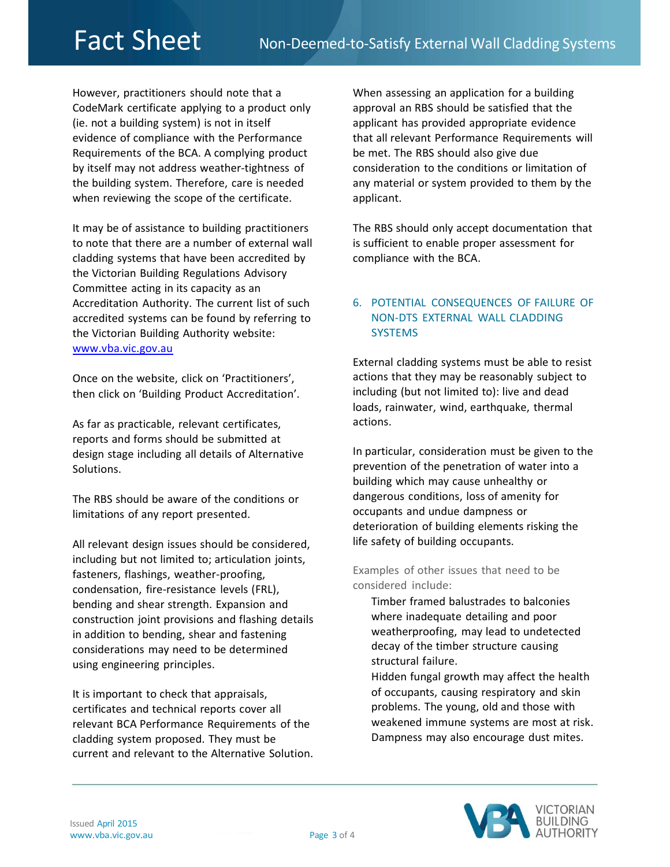However, practitioners should note that a CodeMark certificate applying to a product only (ie. not a building system) is not in itself evidence of compliance with the Performance Requirements of the BCA. A complying product by itself may not address weather-tightness of the building system. Therefore, care is needed when reviewing the scope of the certificate.

It may be of assistance to building practitioners to note that there are a number of external wall cladding systems that have been accredited by the Victorian Building Regulations Advisory Committee acting in its capacity as an Accreditation Authority. The current list of such accredited systems can be found by referring to the Victorian Building Authority website: [www.vba.vic.gov.au](http://www.vba.vic.gov.au/)

Once on the website, click on 'Practitioners', then click on 'Building Product Accreditation'.

As far as practicable, relevant certificates, reports and forms should be submitted at design stage including all details of Alternative Solutions.

The RBS should be aware of the conditions or limitations of any report presented.

All relevant design issues should be considered, including but not limited to; articulation joints, fasteners, flashings, weather-proofing, condensation, fire-resistance levels (FRL), bending and shear strength. Expansion and construction joint provisions and flashing details in addition to bending, shear and fastening considerations may need to be determined using engineering principles.

It is important to check that appraisals, certificates and technical reports cover all relevant BCA Performance Requirements of the cladding system proposed. They must be current and relevant to the Alternative Solution. When assessing an application for a building approval an RBS should be satisfied that the applicant has provided appropriate evidence that all relevant Performance Requirements will be met. The RBS should also give due consideration to the conditions or limitation of any material or system provided to them by the applicant.

The RBS should only accept documentation that is sufficient to enable proper assessment for compliance with the BCA.

# 6. POTENTIAL CONSEQUENCES OF FAILURE OF NON-DTS EXTERNAL WALL CLADDING **SYSTEMS**

External cladding systems must be able to resist actions that they may be reasonably subject to including (but not limited to): live and dead loads, rainwater, wind, earthquake, thermal actions.

In particular, consideration must be given to the prevention of the penetration of water into a building which may cause unhealthy or dangerous conditions, loss of amenity for occupants and undue dampness or deterioration of building elements risking the life safety of building occupants.

Examples of other issues that need to be considered include:

Timber framed balustrades to balconies where inadequate detailing and poor weatherproofing, may lead to undetected decay of the timber structure causing structural failure.

Hidden fungal growth may affect the health of occupants, causing respiratory and skin problems. The young, old and those with weakened immune systems are most at risk. Dampness may also encourage dust mites.